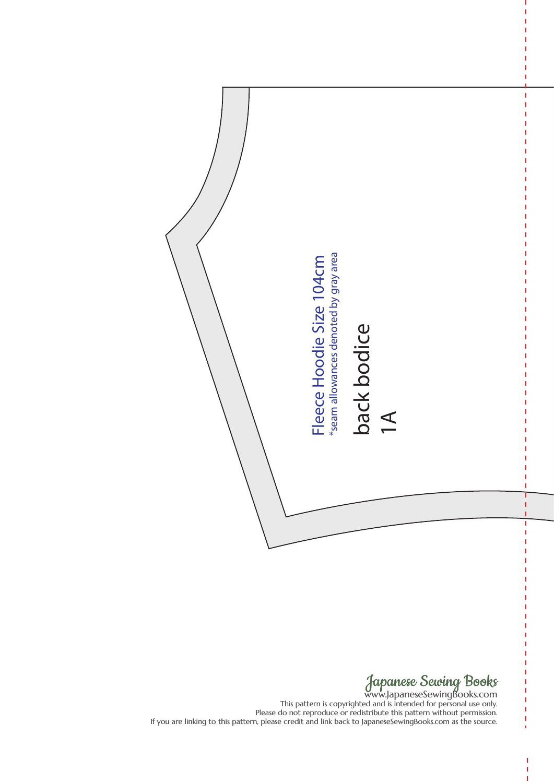

www.JapaneseSewingBooks.com This pattern is copyrighted and is intended for personal use only. Please do not reproduce or redistribute this pattern without permission. If you are linking to this pattern, please credit and link back to JapaneseSewingBooks.com as the source.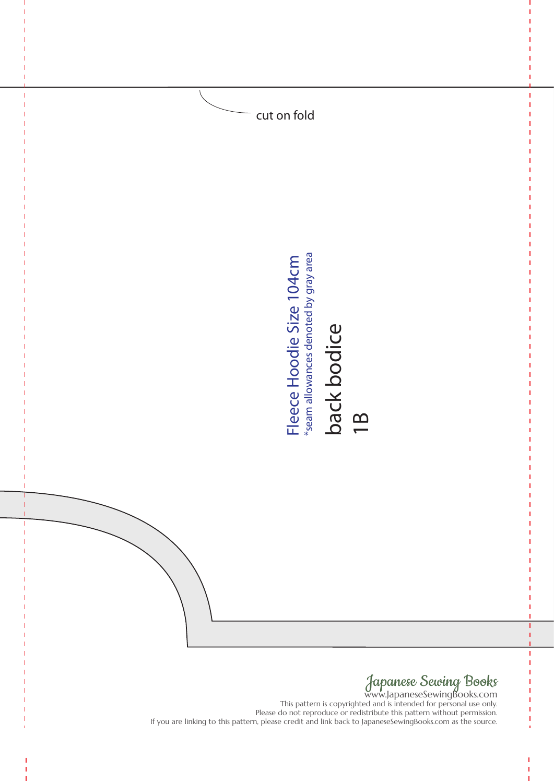

This pattern is copyrighted and is intended for personal use only. Please do not reproduce or redistribute this pattern without permission.<br>If you are linking to this pattern, please credit and link back to JapaneseSewingBooks.com as the source.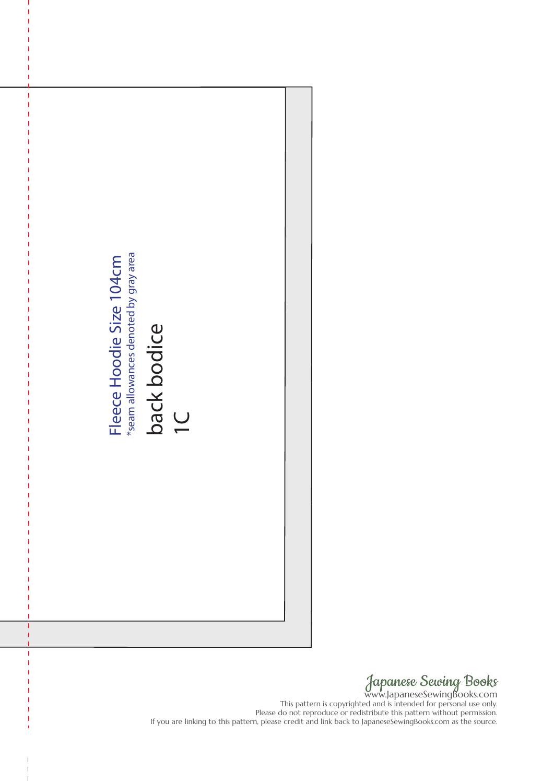

www.JapaneseSewingBooks.com This pattern is copyrighted and is intended for personal use only. Please do not reproduce or redistribute this pattern without permission.<br>If you are linking to this pattern, please credit and link back to JapaneseSewingBooks.com as the source.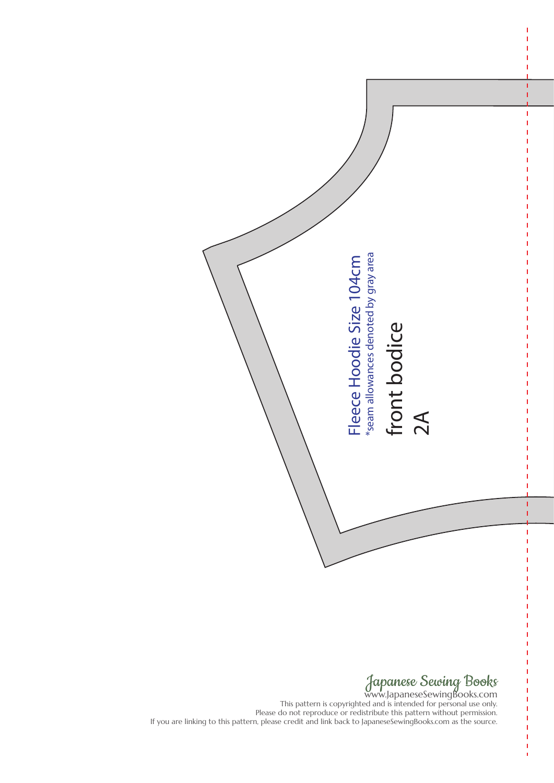

www.JapaneseSewingBooks.com This pattern is copyrighted and is intended for personal use only. Please do not reproduce or redistribute this pattern without permission.<br>If you are linking to this pattern, please credit and link back to JapaneseSewingBooks.com as the source.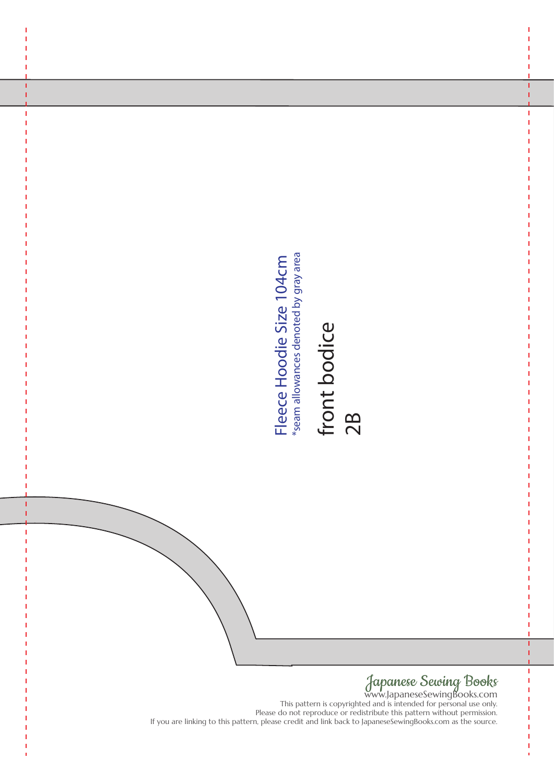# front bodice front bodice<br>2B

## Japanese Sewing Books

www.JapaneseSewingBooks.com This pattern is copyrighted and is intended for personal use only. Please do not reproduce or redistribute this pattern without permission.<br>If you are linking to this pattern, please credit and link back to JapaneseSewingBooks.com as the source. If you are linking to this pattern, please credit and link back to Japaneses/search(ooks.com as the source.<br>
If you are linking to the person please credit and link back to Japaneses denoted by gray area.<br>
The person denot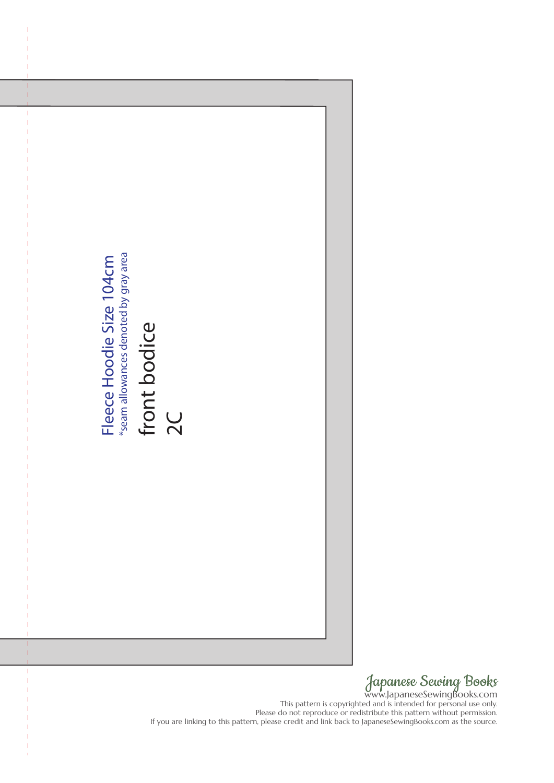

Japanese Sewing Books www.JapaneseSewingBooks.com

This pattern is copyrighted and is intended for personal use only. Please do not reproduce or redistribute this pattern without permission.<br>If you are linking to this pattern, please credit and link back to JapaneseSewingBooks.com as the source.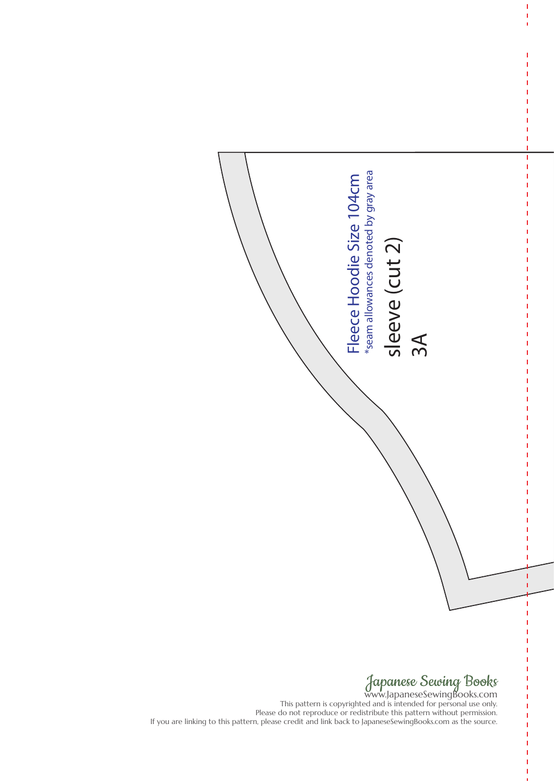

www.JapaneseSewingBooks.com This pattern is copyrighted and is intended for personal use only. Please do not reproduce or redistribute this pattern without permission.<br>If you are linking to this pattern, please credit and link back to JapaneseSewingBooks.com as the source.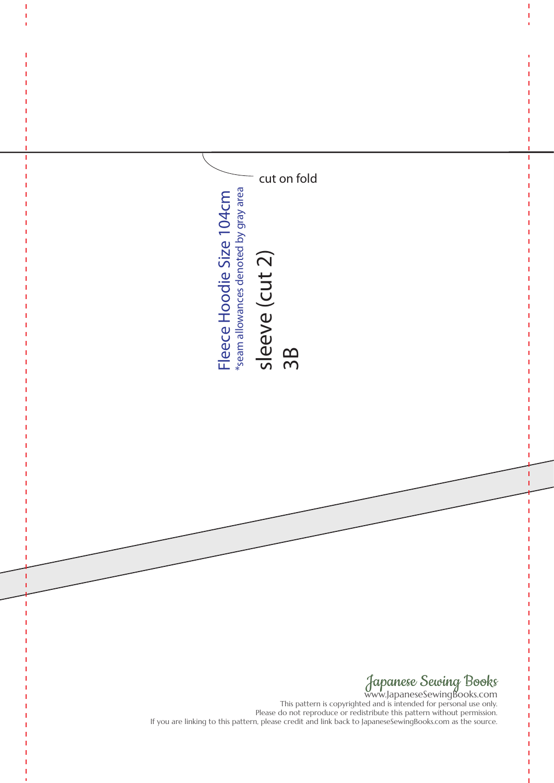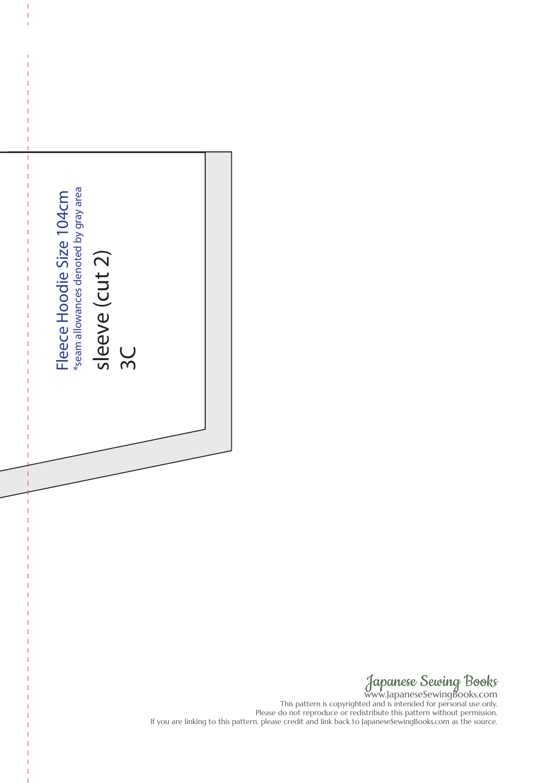| *seam allowances denoted by gray area<br>Fleece Hoodie Size 104cm<br>sleeve (cut 2)<br>3 <sup>C</sup> |                                                                                                                                                                                                              |
|-------------------------------------------------------------------------------------------------------|--------------------------------------------------------------------------------------------------------------------------------------------------------------------------------------------------------------|
|                                                                                                       |                                                                                                                                                                                                              |
|                                                                                                       |                                                                                                                                                                                                              |
|                                                                                                       |                                                                                                                                                                                                              |
|                                                                                                       |                                                                                                                                                                                                              |
|                                                                                                       |                                                                                                                                                                                                              |
|                                                                                                       |                                                                                                                                                                                                              |
|                                                                                                       |                                                                                                                                                                                                              |
|                                                                                                       | Japanese Sewing Books<br>Please do not reproduce or redistribute this pattern without permission<br>If you are linking to this pattern, please credit and link back to JapaneseSewingBooks.com as the source |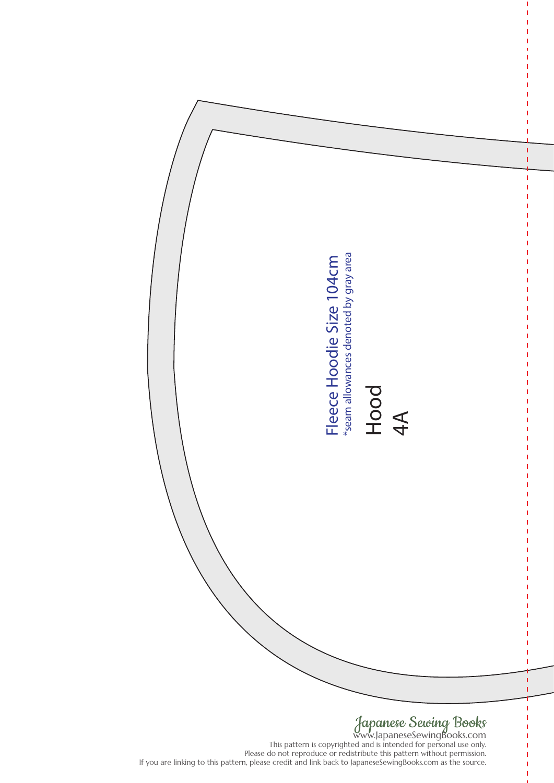

This pattern is copyrighted and is intended for personal use only. Please do not reproduce or redistribute this pattern without permission.